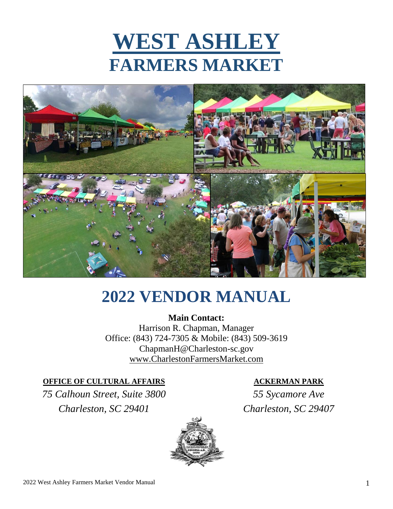



# **2022 VENDOR MANUAL**

**Main Contact:** Harrison R. Chapman, Manager Office: (843) 724-7305 & Mobile: (843) 509-3619 ChapmanH@Charleston-sc.gov www.CharlestonFarmersMarket.com

### **OFFICE OF CULTURAL AFFAIRS**

*75 Calhoun Street, Suite 3800 Charleston, SC 29401*



## **ACKERMAN PARK**

*55 Sycamore Ave Charleston, SC 29407*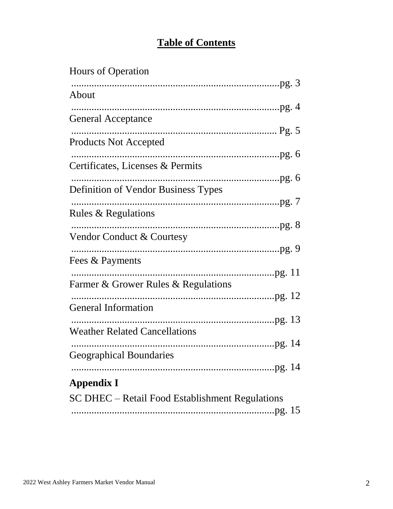# **Table of Contents**

# **Hours of Operation** About **General Acceptance Products Not Accepted** Certificates, Licenses & Permits Definition of Vendor Business Types Rules & Regulations Vendor Conduct & Courtesy Fees & Payments Farmer & Grower Rules & Regulations **General Information Weather Related Cancellations Geographical Boundaries Appendix I** SC DHEC - Retail Food Establishment Regulations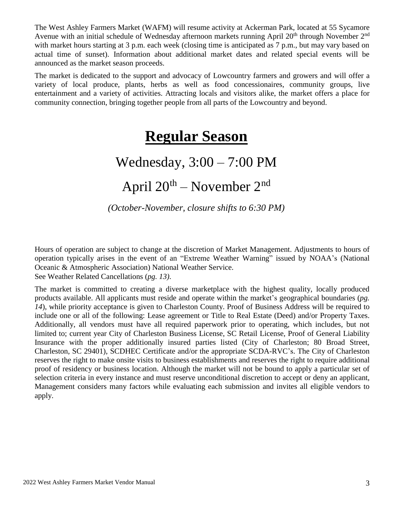The West Ashley Farmers Market (WAFM) will resume activity at Ackerman Park, located at 55 Sycamore Avenue with an initial schedule of Wednesday afternoon markets running April  $20<sup>th</sup>$  through November  $2<sup>nd</sup>$ with market hours starting at 3 p.m. each week (closing time is anticipated as 7 p.m., but may vary based on actual time of sunset). Information about additional market dates and related special events will be announced as the market season proceeds.

The market is dedicated to the support and advocacy of Lowcountry farmers and growers and will offer a variety of local produce, plants, herbs as well as food concessionaires, community groups, live entertainment and a variety of activities. Attracting locals and visitors alike, the market offers a place for community connection, bringing together people from all parts of the Lowcountry and beyond.

# **Regular Season**

# Wednesday, 3:00 – 7:00 PM

# April 20th – November 2nd

*(October-November, closure shifts to 6:30 PM)*

Hours of operation are subject to change at the discretion of Market Management. Adjustments to hours of operation typically arises in the event of an "Extreme Weather Warning" issued by NOAA's (National Oceanic & Atmospheric Association) National Weather Service.

See Weather Related Cancellations (*pg. 13)*.

The market is committed to creating a diverse marketplace with the highest quality, locally produced products available. All applicants must reside and operate within the market's geographical boundaries (*pg. 14*), while priority acceptance is given to Charleston County. Proof of Business Address will be required to include one or all of the following: Lease agreement or Title to Real Estate (Deed) and/or Property Taxes. Additionally, all vendors must have all required paperwork prior to operating, which includes, but not limited to; current year City of Charleston Business License, SC Retail License, Proof of General Liability Insurance with the proper additionally insured parties listed (City of Charleston; 80 Broad Street, Charleston, SC 29401), SCDHEC Certificate and/or the appropriate SCDA-RVC's. The City of Charleston reserves the right to make onsite visits to business establishments and reserves the right to require additional proof of residency or business location. Although the market will not be bound to apply a particular set of selection criteria in every instance and must reserve unconditional discretion to accept or deny an applicant, Management considers many factors while evaluating each submission and invites all eligible vendors to apply.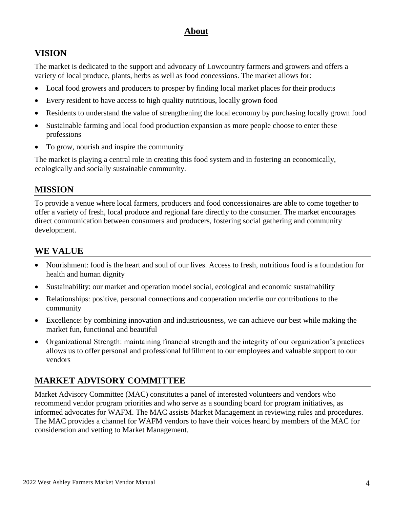## **About**

## **VISION**

The market is dedicated to the support and advocacy of Lowcountry farmers and growers and offers a variety of local produce, plants, herbs as well as food concessions. The market allows for:

- Local food growers and producers to prosper by finding local market places for their products
- Every resident to have access to high quality nutritious, locally grown food
- Residents to understand the value of strengthening the local economy by purchasing locally grown food
- Sustainable farming and local food production expansion as more people choose to enter these professions
- To grow, nourish and inspire the community

The market is playing a central role in creating this food system and in fostering an economically, ecologically and socially sustainable community.

## **MISSION**

To provide a venue where local farmers, producers and food concessionaires are able to come together to offer a variety of fresh, local produce and regional fare directly to the consumer. The market encourages direct communication between consumers and producers, fostering social gathering and community development.

## **WE VALUE**

- Nourishment: food is the heart and soul of our lives. Access to fresh, nutritious food is a foundation for health and human dignity
- Sustainability: our market and operation model social, ecological and economic sustainability
- Relationships: positive, personal connections and cooperation underlie our contributions to the community
- Excellence: by combining innovation and industriousness, we can achieve our best while making the market fun, functional and beautiful
- Organizational Strength: maintaining financial strength and the integrity of our organization's practices allows us to offer personal and professional fulfillment to our employees and valuable support to our vendors

# **MARKET ADVISORY COMMITTEE**

Market Advisory Committee (MAC) constitutes a panel of interested volunteers and vendors who recommend vendor program priorities and who serve as a sounding board for program initiatives, as informed advocates for WAFM. The MAC assists Market Management in reviewing rules and procedures. The MAC provides a channel for WAFM vendors to have their voices heard by members of the MAC for consideration and vetting to Market Management.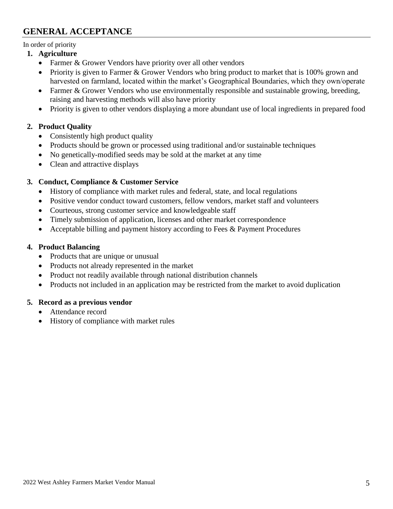# **GENERAL ACCEPTANCE**

In order of priority

#### **1. Agriculture**

- Farmer & Grower Vendors have priority over all other vendors
- Priority is given to Farmer & Grower Vendors who bring product to market that is 100% grown and harvested on farmland, located within the market's Geographical Boundaries, which they own/operate
- Farmer & Grower Vendors who use environmentally responsible and sustainable growing, breeding, raising and harvesting methods will also have priority
- Priority is given to other vendors displaying a more abundant use of local ingredients in prepared food

### **2. Product Quality**

- Consistently high product quality
- Products should be grown or processed using traditional and/or sustainable techniques
- No genetically-modified seeds may be sold at the market at any time
- Clean and attractive displays

### **3. Conduct, Compliance & Customer Service**

- History of compliance with market rules and federal, state, and local regulations
- Positive vendor conduct toward customers, fellow vendors, market staff and volunteers
- Courteous, strong customer service and knowledgeable staff
- Timely submission of application, licenses and other market correspondence
- Acceptable billing and payment history according to Fees & Payment Procedures

### **4. Product Balancing**

- Products that are unique or unusual
- Products not already represented in the market
- Product not readily available through national distribution channels
- Products not included in an application may be restricted from the market to avoid duplication

### **5. Record as a previous vendor**

- Attendance record
- History of compliance with market rules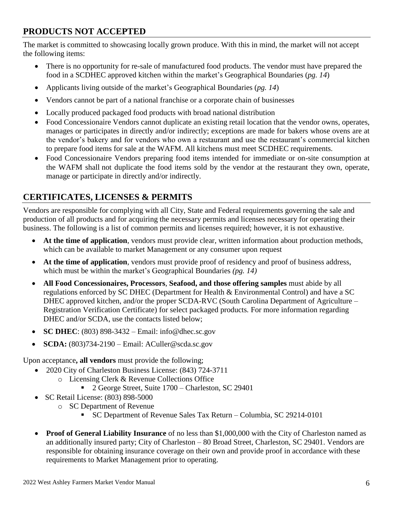# **PRODUCTS NOT ACCEPTED**

The market is committed to showcasing locally grown produce. With this in mind, the market will not accept the following items:

- There is no opportunity for re-sale of manufactured food products. The vendor must have prepared the food in a SCDHEC approved kitchen within the market's Geographical Boundaries (*pg. 14*)
- Applicants living outside of the market's Geographical Boundaries (*pg. 14*)
- Vendors cannot be part of a national franchise or a corporate chain of businesses
- Locally produced packaged food products with broad national distribution
- Food Concessionaire Vendors cannot duplicate an existing retail location that the vendor owns, operates, manages or participates in directly and/or indirectly; exceptions are made for bakers whose ovens are at the vendor's bakery and for vendors who own a restaurant and use the restaurant's commercial kitchen to prepare food items for sale at the WAFM. All kitchens must meet SCDHEC requirements.
- Food Concessionaire Vendors preparing food items intended for immediate or on-site consumption at the WAFM shall not duplicate the food items sold by the vendor at the restaurant they own, operate, manage or participate in directly and/or indirectly.

# **CERTIFICATES, LICENSES & PERMITS**

Vendors are responsible for complying with all City, State and Federal requirements governing the sale and production of all products and for acquiring the necessary permits and licenses necessary for operating their business. The following is a list of common permits and licenses required; however, it is not exhaustive.

- **At the time of application**, vendors must provide clear, written information about production methods, which can be available to market Management or any consumer upon request
- **At the time of application**, vendors must provide proof of residency and proof of business address, which must be within the market's Geographical Boundaries *(pg. 14)*
- **All Food Concessionaires, Processors**, **Seafood, and those offering samples** must abide by all regulations enforced by SC DHEC (Department for Health & Environmental Control) and have a SC DHEC approved kitchen, and/or the proper SCDA-RVC (South Carolina Department of Agriculture – Registration Verification Certificate) for select packaged products*.* For more information regarding DHEC and/or SCDA, use the contacts listed below;
- **SC DHEC**: (803) 898-3432 Email: info@dhec.sc.gov
- **SCDA:** (803)734-2190 Email: ACuller@scda.sc.gov

Upon acceptance**, all vendors** must provide the following;

- 2020 City of Charleston Business License: (843) 724-3711
	- o Licensing Clerk & Revenue Collections Office
		- 2 George Street, Suite 1700 Charleston, SC 29401
- SC Retail License: (803) 898-5000
	- o SC Department of Revenue
		- SC Department of Revenue Sales Tax Return Columbia, SC 29214-0101
- **Proof of General Liability Insurance** of no less than \$1,000,000 with the City of Charleston named as an additionally insured party; City of Charleston – 80 Broad Street, Charleston, SC 29401. Vendors are responsible for obtaining insurance coverage on their own and provide proof in accordance with these requirements to Market Management prior to operating.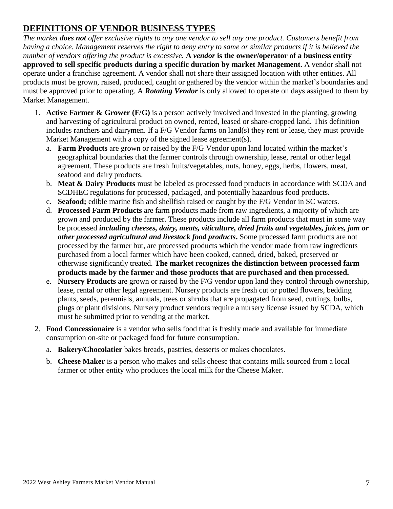# **DEFINITIONS OF VENDOR BUSINESS TYPES**

*The market does not offer exclusive rights to any one vendor to sell any one product. Customers benefit from having a choice. Management reserves the right to deny entry to same or similar products if it is believed the number of vendors offering the product is excessive.* **A** *vendor* **is the owner/operator of a business entity approved to sell specific products during a specific duration by market Management**. A vendor shall not operate under a franchise agreement. A vendor shall not share their assigned location with other entities. All products must be grown, raised, produced, caught or gathered by the vendor within the market's boundaries and must be approved prior to operating. A *Rotating Vendor* is only allowed to operate on days assigned to them by Market Management.

- 1. **Active Farmer & Grower (F/G)** is a person actively involved and invested in the planting, growing and harvesting of agricultural product on owned, rented, leased or share-cropped land. This definition includes ranchers and dairymen. If a F/G Vendor farms on land(s) they rent or lease, they must provide Market Management with a copy of the signed lease agreement(s).
	- a. **Farm Products** are grown or raised by the F/G Vendor upon land located within the market's geographical boundaries that the farmer controls through ownership, lease, rental or other legal agreement. These products are fresh fruits/vegetables, nuts, honey, eggs, herbs, flowers, meat, seafood and dairy products.
	- b. **Meat & Dairy Products** must be labeled as processed food products in accordance with SCDA and SCDHEC regulations for processed, packaged, and potentially hazardous food products.
	- c. **Seafood;** edible marine fish and shellfish raised or caught by the F/G Vendor in SC waters.
	- d. **Processed Farm Products** are farm products made from raw ingredients, a majority of which are grown and produced by the farmer. These products include all farm products that must in some way be processed *including cheeses, dairy, meats, viticulture, dried fruits and vegetables, juices, jam or other processed agricultural and livestock food products***.** Some processed farm products are not processed by the farmer but, are processed products which the vendor made from raw ingredients purchased from a local farmer which have been cooked, canned, dried, baked, preserved or otherwise significantly treated. **The market recognizes the distinction between processed farm products made by the farmer and those products that are purchased and then processed.**
	- e. **Nursery Products** are grown or raised by the F/G vendor upon land they control through ownership, lease, rental or other legal agreement. Nursery products are fresh cut or potted flowers, bedding plants, seeds, perennials, annuals, trees or shrubs that are propagated from seed, cuttings, bulbs, plugs or plant divisions. Nursery product vendors require a nursery license issued by SCDA, which must be submitted prior to vending at the market.
- 2. **Food Concessionaire** is a vendor who sells food that is freshly made and available for immediate consumption on-site or packaged food for future consumption.
	- a. **Bakery/Chocolatier** bakes breads, pastries, desserts or makes chocolates.
	- b. **Cheese Maker** is a person who makes and sells cheese that contains milk sourced from a local farmer or other entity who produces the local milk for the Cheese Maker.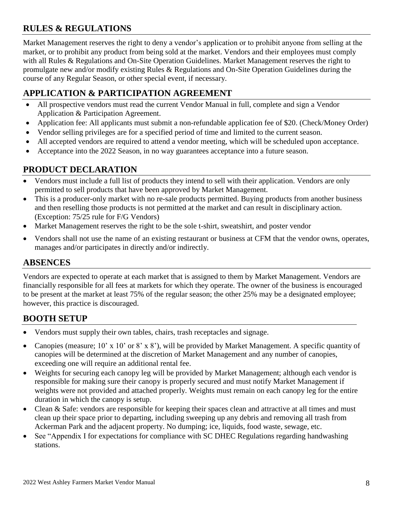# **RULES & REGULATIONS**

Market Management reserves the right to deny a vendor's application or to prohibit anyone from selling at the market, or to prohibit any product from being sold at the market. Vendors and their employees must comply with all Rules & Regulations and On-Site Operation Guidelines. Market Management reserves the right to promulgate new and/or modify existing Rules & Regulations and On-Site Operation Guidelines during the course of any Regular Season, or other special event, if necessary.

## **APPLICATION & PARTICIPATION AGREEMENT**

- All prospective vendors must read the current Vendor Manual in full, complete and sign a Vendor Application & Participation Agreement.
- Application fee: All applicants must submit a non-refundable application fee of \$20. (Check/Money Order)
- Vendor selling privileges are for a specified period of time and limited to the current season.
- All accepted vendors are required to attend a vendor meeting, which will be scheduled upon acceptance.
- Acceptance into the 2022 Season, in no way guarantees acceptance into a future season.

## **PRODUCT DECLARATION**

- Vendors must include a full list of products they intend to sell with their application. Vendors are only permitted to sell products that have been approved by Market Management.
- This is a producer-only market with no re-sale products permitted. Buying products from another business and then reselling those products is not permitted at the market and can result in disciplinary action. (Exception: 75/25 rule for F/G Vendors)
- Market Management reserves the right to be the sole t-shirt, sweatshirt, and poster vendor
- Vendors shall not use the name of an existing restaurant or business at CFM that the vendor owns, operates, manages and/or participates in directly and/or indirectly.

## **ABSENCES**

Vendors are expected to operate at each market that is assigned to them by Market Management. Vendors are financially responsible for all fees at markets for which they operate. The owner of the business is encouraged to be present at the market at least 75% of the regular season; the other 25% may be a designated employee; however, this practice is discouraged.

## **BOOTH SETUP**

- Vendors must supply their own tables, chairs, trash receptacles and signage.
- Canopies (measure; 10' x 10' or 8' x 8'), will be provided by Market Management. A specific quantity of canopies will be determined at the discretion of Market Management and any number of canopies, exceeding one will require an additional rental fee.
- Weights for securing each canopy leg will be provided by Market Management; although each vendor is responsible for making sure their canopy is properly secured and must notify Market Management if weights were not provided and attached properly. Weights must remain on each canopy leg for the entire duration in which the canopy is setup.
- Clean & Safe: vendors are responsible for keeping their spaces clean and attractive at all times and must clean up their space prior to departing, including sweeping up any debris and removing all trash from Ackerman Park and the adjacent property. No dumping; ice, liquids, food waste, sewage, etc.
- See "Appendix I for expectations for compliance with SC DHEC Regulations regarding handwashing stations.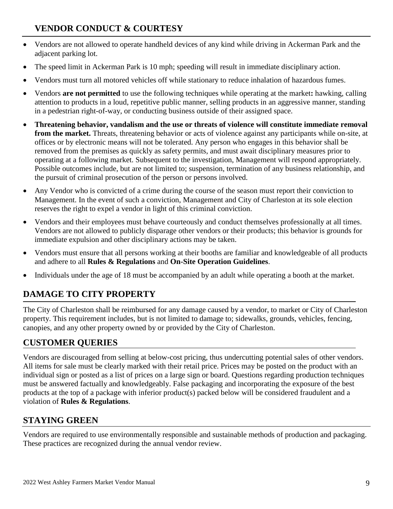# **VENDOR CONDUCT & COURTESY**

- Vendors are not allowed to operate handheld devices of any kind while driving in Ackerman Park and the adjacent parking lot.
- The speed limit in Ackerman Park is 10 mph; speeding will result in immediate disciplinary action.
- Vendors must turn all motored vehicles off while stationary to reduce inhalation of hazardous fumes.
- Vendors **are not permitted** to use the following techniques while operating at the market**:** hawking, calling attention to products in a loud, repetitive public manner, selling products in an aggressive manner, standing in a pedestrian right-of-way, or conducting business outside of their assigned space.
- **Threatening behavior, vandalism and the use or threats of violence will constitute immediate removal from the market.** Threats, threatening behavior or acts of violence against any participants while on-site, at offices or by electronic means will not be tolerated. Any person who engages in this behavior shall be removed from the premises as quickly as safety permits, and must await disciplinary measures prior to operating at a following market. Subsequent to the investigation, Management will respond appropriately. Possible outcomes include, but are not limited to; suspension, termination of any business relationship, and the pursuit of criminal prosecution of the person or persons involved.
- Any Vendor who is convicted of a crime during the course of the season must report their conviction to Management. In the event of such a conviction, Management and City of Charleston at its sole election reserves the right to expel a vendor in light of this criminal conviction.
- Vendors and their employees must behave courteously and conduct themselves professionally at all times. Vendors are not allowed to publicly disparage other vendors or their products; this behavior is grounds for immediate expulsion and other disciplinary actions may be taken.
- Vendors must ensure that all persons working at their booths are familiar and knowledgeable of all products and adhere to all **Rules & Regulations** and **On-Site Operation Guidelines**.
- Individuals under the age of 18 must be accompanied by an adult while operating a booth at the market.

# **DAMAGE TO CITY PROPERTY**

The City of Charleston shall be reimbursed for any damage caused by a vendor, to market or City of Charleston property. This requirement includes, but is not limited to damage to; sidewalks, grounds, vehicles, fencing, canopies, and any other property owned by or provided by the City of Charleston.

## **CUSTOMER QUERIES**

Vendors are discouraged from selling at below-cost pricing, thus undercutting potential sales of other vendors. All items for sale must be clearly marked with their retail price. Prices may be posted on the product with an individual sign or posted as a list of prices on a large sign or board. Questions regarding production techniques must be answered factually and knowledgeably. False packaging and incorporating the exposure of the best products at the top of a package with inferior product(s) packed below will be considered fraudulent and a violation of **Rules & Regulations**.

# **STAYING GREEN**

Vendors are required to use environmentally responsible and sustainable methods of production and packaging. These practices are recognized during the annual vendor review.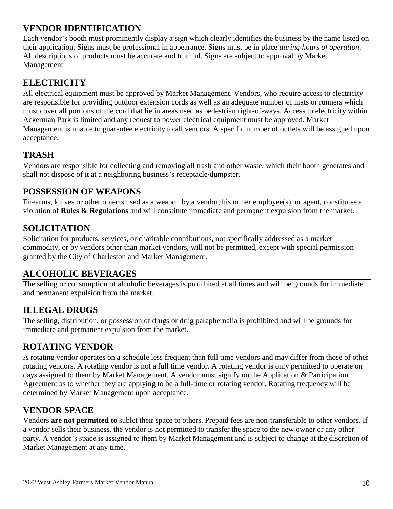# **VENDOR IDENTIFICATION**

Each vendor's booth must prominently display a sign which clearly identifies the business by the name listed on their application. Signs must be professional in appearance. Signs must be in place *during hours of operation*. All descriptions of products must be accurate and truthful. Signs are subject to approval by Market Management.

# **ELECTRICITY**

All electrical equipment must be approved by Market Management. Vendors, who require access to electricity are responsible for providing outdoor extension cords as well as an adequate number of mats or runners which must cover all portions of the cord that lie in areas used as pedestrian right-of-ways. Access to electricity within Ackerman Park is limited and any request to power electrical equipment must be approved. Market Management is unable to guarantee electricity to all vendors. A specific number of outlets will be assigned upon acceptance.

# **TRASH**

Vendors are responsible for collecting and removing all trash and other waste, which their booth generates and shall not dispose of it at a neighboring business's receptacle/dumpster.

# **POSSESSION OF WEAPONS**

Firearms, knives or other objects used as a weapon by a vendor, his or her employee(s), or agent, constitutes a violation of **Rules & Regulations** and will constitute immediate and permanent expulsion from the market.

## **SOLICITATION**

Solicitation for products, services, or charitable contributions, not specifically addressed as a market commodity, or by vendors other than market vendors, will not be permitted, except with special permission granted by the City of Charleston and Market Management.

# **ALCOHOLIC BEVERAGES**

The selling or consumption of alcoholic beverages is prohibited at all times and will be grounds for immediate and permanent expulsion from the market.

# **ILLEGAL DRUGS**

The selling, distribution, or possession of drugs or drug paraphernalia is prohibited and will be grounds for immediate and permanent expulsion from the market.

## **ROTATING VENDOR**

A rotating vendor operates on a schedule less frequent than full time vendors and may differ from those of other rotating vendors. A rotating vendor is not a full time vendor. A rotating vendor is only permitted to operate on days assigned to them by Market Management. A vendor must signify on the Application & Participation Agreement as to whether they are applying to be a full-time or rotating vendor. Rotating frequency will be determined by Market Management upon acceptance.

## **VENDOR SPACE**

Vendors **are not permitted to** sublet their space to others. Prepaid fees are non-transferable to other vendors. If a vendor sells their business, the vendor is not permitted to transfer the space to the new owner or any other party. A vendor's space is assigned to them by Market Management and is subject to change at the discretion of Market Management at any time.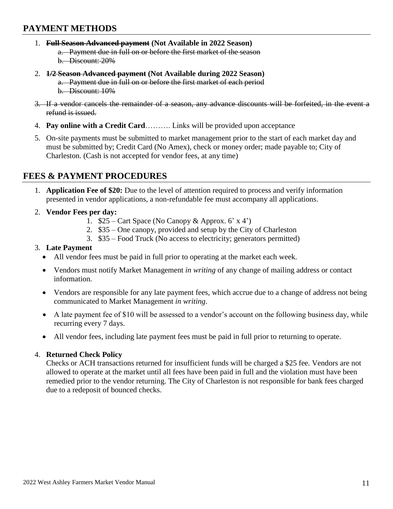## **PAYMENT METHODS**

- 1. **Full Season Advanced payment (Not Available in 2022 Season)** a. Payment due in full on or before the first market of the season b. Discount: 20%
- 2. **1/2 Season Advanced payment (Not Available during 2022 Season)** a. Payment due in full on or before the first market of each period b. Discount: 10%
- 3. If a vendor cancels the remainder of a season, any advance discounts will be forfeited, in the event a refund is issued.
- 4. **Pay online with a Credit Card**………. Links will be provided upon acceptance
- 5. On-site payments must be submitted to market management prior to the start of each market day and must be submitted by; Credit Card (No Amex), check or money order; made payable to; City of Charleston. (Cash is not accepted for vendor fees, at any time)

## **FEES & PAYMENT PROCEDURES**

- 1. **Application Fee of \$20:** Due to the level of attention required to process and verify information presented in vendor applications, a non-refundable fee must accompany all applications.
- 2. **Vendor Fees per day:**
	- 1.  $$25$  Cart Space (No Canopy & Approx. 6' x 4')
	- 2. \$35 One canopy, provided and setup by the City of Charleston
	- 3. \$35 Food Truck (No access to electricity; generators permitted)

#### 3. **Late Payment**

- All vendor fees must be paid in full prior to operating at the market each week.
- Vendors must notify Market Management *in writing* of any change of mailing address or contact information.
- Vendors are responsible for any late payment fees, which accrue due to a change of address not being communicated to Market Management *in writing*.
- A late payment fee of \$10 will be assessed to a vendor's account on the following business day, while recurring every 7 days.
- All vendor fees, including late payment fees must be paid in full prior to returning to operate.

#### 4. **Returned Check Policy**

Checks or ACH transactions returned for insufficient funds will be charged a \$25 fee. Vendors are not allowed to operate at the market until all fees have been paid in full and the violation must have been remedied prior to the vendor returning. The City of Charleston is not responsible for bank fees charged due to a redeposit of bounced checks.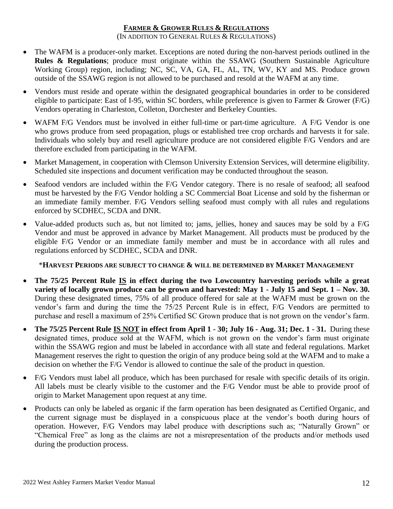### **FARMER & GROWER RULES & REGULATIONS**

#### (IN ADDITION TO GENERAL RULES & REGULATIONS)

- The WAFM is a producer-only market. Exceptions are noted during the non-harvest periods outlined in the **Rules & Regulations**; produce must originate within the SSAWG (Southern Sustainable Agriculture Working Group) region, including; NC, SC, VA, GA, FL, AL, TN, WV, KY and MS. Produce grown outside of the SSAWG region is not allowed to be purchased and resold at the WAFM at any time.
- Vendors must reside and operate within the designated geographical boundaries in order to be considered eligible to participate: East of I-95, within SC borders, while preference is given to Farmer & Grower (F/G) Vendors operating in Charleston, Colleton, Dorchester and Berkeley Counties.
- WAFM F/G Vendors must be involved in either full-time or part-time agriculture. A F/G Vendor is one who grows produce from seed propagation, plugs or established tree crop orchards and harvests it for sale. Individuals who solely buy and resell agriculture produce are not considered eligible F/G Vendors and are therefore excluded from participating in the WAFM.
- Market Management, in cooperation with Clemson University Extension Services, will determine eligibility. Scheduled site inspections and document verification may be conducted throughout the season.
- Seafood vendors are included within the F/G Vendor category. There is no resale of seafood; all seafood must be harvested by the F/G Vendor holding a SC Commercial Boat License and sold by the fisherman or an immediate family member. F/G Vendors selling seafood must comply with all rules and regulations enforced by SCDHEC, SCDA and DNR.
- Value-added products such as, but not limited to; jams, jellies, honey and sauces may be sold by a F/G Vendor and must be approved in advance by Market Management. All products must be produced by the eligible F/G Vendor or an immediate family member and must be in accordance with all rules and regulations enforced by SCDHEC, SCDA and DNR.

### \***HARVEST PERIODS ARE SUBJECT TO CHANGE & WILL BE DETERMINED BY MARKET MANAGEMENT**

- **The 75/25 Percent Rule IS in effect during the two Lowcountry harvesting periods while a great variety of locally grown produce can be grown and harvested: May 1 - July 15 and Sept. 1 – Nov. 30.** During these designated times, 75% of all produce offered for sale at the WAFM must be grown on the vendor's farm and during the time the 75/25 Percent Rule is in effect, F/G Vendors are permitted to purchase and resell a maximum of 25% Certified SC Grown produce that is not grown on the vendor's farm.
- **The 75/25 Percent Rule IS NOT in effect from April 1 - 30; July 16 - Aug. 31; Dec. 1 - 31.** During these designated times, produce sold at the WAFM, which is not grown on the vendor's farm must originate within the SSAWG region and must be labeled in accordance with all state and federal regulations. Market Management reserves the right to question the origin of any produce being sold at the WAFM and to make a decision on whether the F/G Vendor is allowed to continue the sale of the product in question.
- F/G Vendors must label all produce, which has been purchased for resale with specific details of its origin. All labels must be clearly visible to the customer and the F/G Vendor must be able to provide proof of origin to Market Management upon request at any time.
- Products can only be labeled as organic if the farm operation has been designated as Certified Organic, and the current signage must be displayed in a conspicuous place at the vendor's booth during hours of operation. However, F/G Vendors may label produce with descriptions such as; "Naturally Grown" or "Chemical Free" as long as the claims are not a misrepresentation of the products and/or methods used during the production process.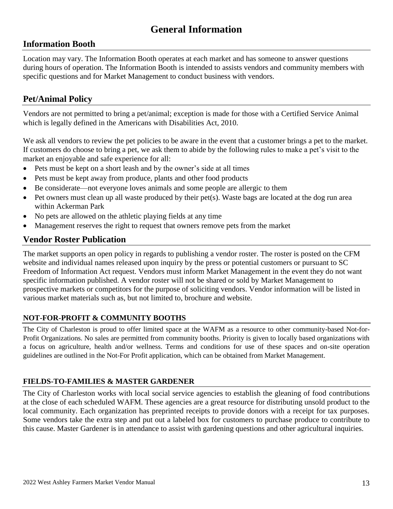# **General Information**

## **Information Booth**

Location may vary. The Information Booth operates at each market and has someone to answer questions during hours of operation. The Information Booth is intended to assists vendors and community members with specific questions and for Market Management to conduct business with vendors.

## **Pet/Animal Policy**

Vendors are not permitted to bring a pet/animal; exception is made for those with a Certified Service Animal which is legally defined in the Americans with Disabilities Act, 2010.

We ask all vendors to review the pet policies to be aware in the event that a customer brings a pet to the market. If customers do choose to bring a pet, we ask them to abide by the following rules to make a pet's visit to the market an enjoyable and safe experience for all:

- Pets must be kept on a short leash and by the owner's side at all times
- Pets must be kept away from produce, plants and other food products
- Be considerate—not everyone loves animals and some people are allergic to them
- $\bullet$  Pet owners must clean up all waste produced by their pet(s). Waste bags are located at the dog run area within Ackerman Park
- No pets are allowed on the athletic playing fields at any time
- Management reserves the right to request that owners remove pets from the market

## **Vendor Roster Publication**

The market supports an open policy in regards to publishing a vendor roster. The roster is posted on the CFM website and individual names released upon inquiry by the press or potential customers or pursuant to SC Freedom of Information Act request. Vendors must inform Market Management in the event they do not want specific information published. A vendor roster will not be shared or sold by Market Management to prospective markets or competitors for the purpose of soliciting vendors. Vendor information will be listed in various market materials such as, but not limited to, brochure and website.

### **NOT-FOR-PROFIT & COMMUNITY BOOTHS**

The City of Charleston is proud to offer limited space at the WAFM as a resource to other community-based Not-for-Profit Organizations. No sales are permitted from community booths. Priority is given to locally based organizations with a focus on agriculture, health and/or wellness. Terms and conditions for use of these spaces and on-site operation guidelines are outlined in the Not-For Profit application, which can be obtained from Market Management.

### **FIELDS-TO-FAMILIES & MASTER GARDENER**

The City of Charleston works with local social service agencies to establish the gleaning of food contributions at the close of each scheduled WAFM. These agencies are a great resource for distributing unsold product to the local community. Each organization has preprinted receipts to provide donors with a receipt for tax purposes. Some vendors take the extra step and put out a labeled box for customers to purchase produce to contribute to this cause. Master Gardener is in attendance to assist with gardening questions and other agricultural inquiries.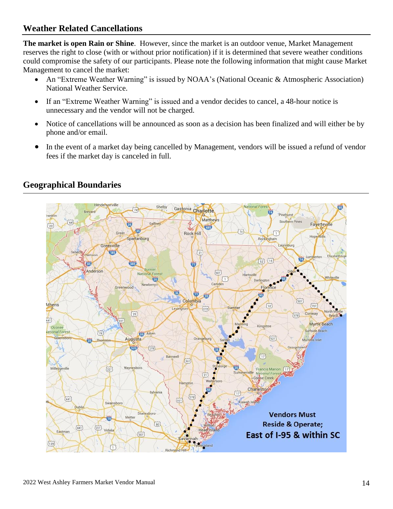## **Weather Related Cancellations**

**The market is open Rain or Shine**. However, since the market is an outdoor venue, Market Management reserves the right to close (with or without prior notification) if it is determined that severe weather conditions could compromise the safety of our participants. Please note the following information that might cause Market Management to cancel the market:

- An "Extreme Weather Warning" is issued by NOAA's (National Oceanic & Atmospheric Association) National Weather Service.
- If an "Extreme Weather Warning" is issued and a vendor decides to cancel, a 48-hour notice is unnecessary and the vendor will not be charged.
- Notice of cancellations will be announced as soon as a decision has been finalized and will either be by phone and/or email.
- In the event of a market day being cancelled by Management, vendors will be issued a refund of vendor fees if the market day is canceled in full.



## **Geographical Boundaries**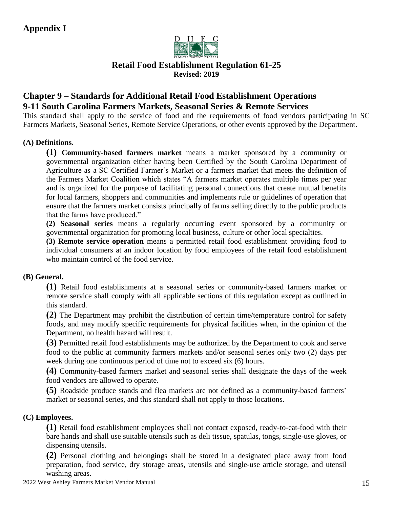

## **Retail Food Establishment Regulation 61-25 Revised: 2019**

## **Chapter 9 – Standards for Additional Retail Food Establishment Operations 9-11 South Carolina Farmers Markets, Seasonal Series & Remote Services**

This standard shall apply to the service of food and the requirements of food vendors participating in SC Farmers Markets, Seasonal Series, Remote Service Operations, or other events approved by the Department.

### **(A) Definitions.**

**(1) Community-based farmers market** means a market sponsored by a community or governmental organization either having been Certified by the South Carolina Department of Agriculture as a SC Certified Farmer's Market or a farmers market that meets the definition of the Farmers Market Coalition which states "A farmers market operates multiple times per year and is organized for the purpose of facilitating personal connections that create mutual benefits for local farmers, shoppers and communities and implements rule or guidelines of operation that ensure that the farmers market consists principally of farms selling directly to the public products that the farms have produced."

**(2) Seasonal series** means a regularly occurring event sponsored by a community or governmental organization for promoting local business, culture or other local specialties.

**(3) Remote service operation** means a permitted retail food establishment providing food to individual consumers at an indoor location by food employees of the retail food establishment who maintain control of the food service.

### **(B) General.**

**(1)** Retail food establishments at a seasonal series or community-based farmers market or remote service shall comply with all applicable sections of this regulation except as outlined in this standard.

**(2)** The Department may prohibit the distribution of certain time/temperature control for safety foods, and may modify specific requirements for physical facilities when, in the opinion of the Department, no health hazard will result.

**(3)** Permitted retail food establishments may be authorized by the Department to cook and serve food to the public at community farmers markets and/or seasonal series only two (2) days per week during one continuous period of time not to exceed six (6) hours.

**(4)** Community-based farmers market and seasonal series shall designate the days of the week food vendors are allowed to operate.

**(5)** Roadside produce stands and flea markets are not defined as a community-based farmers' market or seasonal series, and this standard shall not apply to those locations.

### **(C) Employees.**

**(1)** Retail food establishment employees shall not contact exposed, ready-to-eat-food with their bare hands and shall use suitable utensils such as deli tissue, spatulas, tongs, single-use gloves, or dispensing utensils.

**(2)** Personal clothing and belongings shall be stored in a designated place away from food preparation, food service, dry storage areas, utensils and single-use article storage, and utensil washing areas.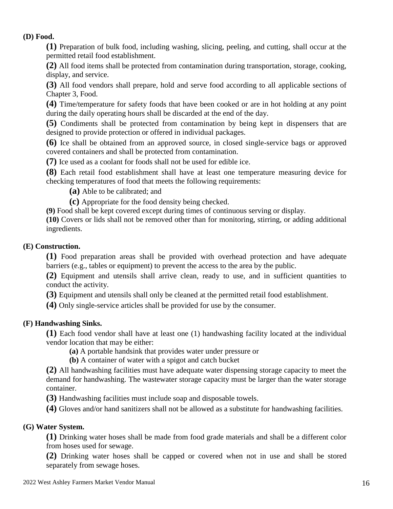#### **(D) Food.**

**(1)** Preparation of bulk food, including washing, slicing, peeling, and cutting, shall occur at the permitted retail food establishment.

**(2)** All food items shall be protected from contamination during transportation, storage, cooking, display, and service.

**(3)** All food vendors shall prepare, hold and serve food according to all applicable sections of Chapter 3, Food.

**(4)** Time/temperature for safety foods that have been cooked or are in hot holding at any point during the daily operating hours shall be discarded at the end of the day.

**(5)** Condiments shall be protected from contamination by being kept in dispensers that are designed to provide protection or offered in individual packages.

**(6)** Ice shall be obtained from an approved source, in closed single-service bags or approved covered containers and shall be protected from contamination.

**(7)** Ice used as a coolant for foods shall not be used for edible ice.

**(8)** Each retail food establishment shall have at least one temperature measuring device for checking temperatures of food that meets the following requirements:

**(a)** Able to be calibrated; and

**(c)** Appropriate for the food density being checked.

**(9)** Food shall be kept covered except during times of continuous serving or display.

**(10)** Covers or lids shall not be removed other than for monitoring, stirring, or adding additional ingredients.

### **(E) Construction.**

**(1)** Food preparation areas shall be provided with overhead protection and have adequate barriers (e.g., tables or equipment) to prevent the access to the area by the public.

**(2)** Equipment and utensils shall arrive clean, ready to use, and in sufficient quantities to conduct the activity.

**(3)** Equipment and utensils shall only be cleaned at the permitted retail food establishment.

**(4)** Only single-service articles shall be provided for use by the consumer.

### **(F) Handwashing Sinks.**

**(1)** Each food vendor shall have at least one (1) handwashing facility located at the individual vendor location that may be either:

**(a)** A portable handsink that provides water under pressure or

**(b)** A container of water with a spigot and catch bucket

**(2)** All handwashing facilities must have adequate water dispensing storage capacity to meet the demand for handwashing. The wastewater storage capacity must be larger than the water storage container.

**(3)** Handwashing facilities must include soap and disposable towels.

**(4)** Gloves and/or hand sanitizers shall not be allowed as a substitute for handwashing facilities.

## **(G) Water System.**

**(1)** Drinking water hoses shall be made from food grade materials and shall be a different color from hoses used for sewage.

**(2)** Drinking water hoses shall be capped or covered when not in use and shall be stored separately from sewage hoses.